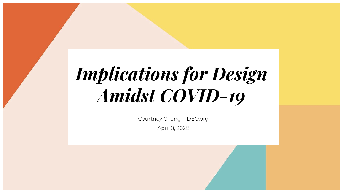# *Implications for Design Amidst COVID-19-*

Courtney Chang | IDEO.org

April 8, 2020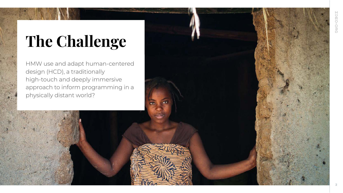# **The Challenge-**

HMW use and adapt human-centered design (HCD), a traditionally high-touch and deeply immersive approach to inform programming in a physically distant world?

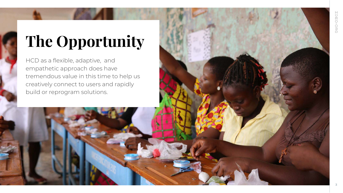## **The Opportunity-**

HCD as a flexible, adaptive, and empathetic approach does have tremendous value in this time to help us creatively connect to users and rapidly build or reprogram solutions.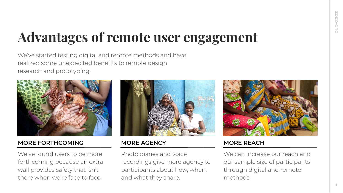## **Advantages of remote user engagement-**

We've started testing digital and remote methods and have realized some unexpected benefits to remote design research and prototyping.



#### **MORE FORTHCOMING**

We've found users to be more forthcoming because an extra wall provides safety that isn't there when we're face to face.



#### **MORE AGENCY**

Photo diaries and voice recordings give more agency to participants about how, when, and what they share.



#### **MORE REACH**

We can increase our reach and our sample size of participants through digital and remote methods.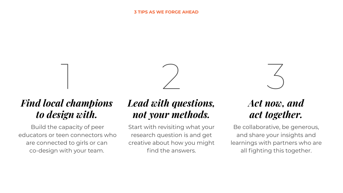

# 3

## *Find local champions to design with.*

1

 Build the capacity of peer educators or teen connectors who are connected to girls or can co-design with your team.

## *Lead with questions, not your methods.-*

Start with revisiting what your research question is and get creative about how you might find the answers.

### *Act now, and act together.*

Be collaborative, be generous, and share your insights and learnings with partners who are all fighting this together.